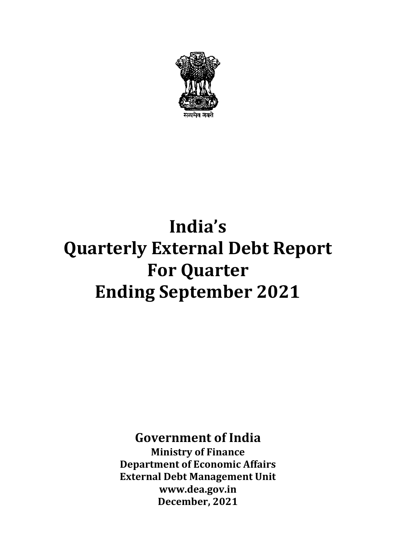

# **India's Quarterly External Debt Report For Quarter Ending September 2021**

## **Government of India**

**Ministry of Finance Department of Economic Affairs External Debt Management Unit [www.dea.gov.in](http://www.dea.gov.in/) December, 2021**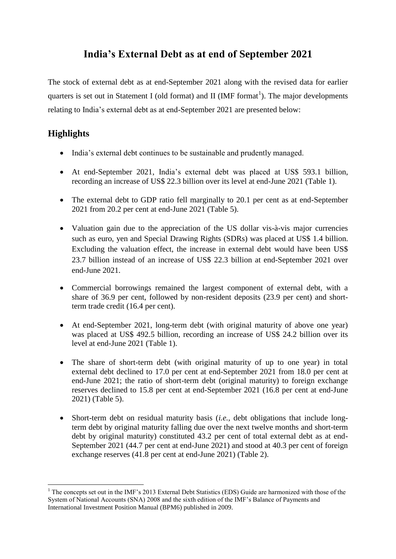### **India's External Debt as at end of September 2021**

The stock of external debt as at end-September 2021 along with the revised data for earlier quarters is set out in Statement I (old format) and II (IMF format<sup>1</sup>). The major developments relating to India's external debt as at end-September 2021 are presented below:

#### **Highlights**

1

- India's external debt continues to be sustainable and prudently managed.
- At end-September 2021, India's external debt was placed at US\$ 593.1 billion, recording an increase of US\$ 22.3 billion over its level at end-June 2021 (Table 1).
- The external debt to GDP ratio fell marginally to 20.1 per cent as at end-September 2021 from 20.2 per cent at end-June 2021 (Table 5).
- Valuation gain due to the appreciation of the US dollar vis-à-vis major currencies such as euro, yen and Special Drawing Rights (SDRs) was placed at US\$ 1.4 billion. Excluding the valuation effect, the increase in external debt would have been US\$ 23.7 billion instead of an increase of US\$ 22.3 billion at end-September 2021 over end-June 2021.
- Commercial borrowings remained the largest component of external debt, with a share of 36.9 per cent, followed by non-resident deposits (23.9 per cent) and shortterm trade credit (16.4 per cent).
- At end-September 2021, long-term debt (with original maturity of above one year) was placed at US\$ 492.5 billion, recording an increase of US\$ 24.2 billion over its level at end-June 2021 (Table 1).
- The share of short-term debt (with original maturity of up to one year) in total external debt declined to 17.0 per cent at end-September 2021 from 18.0 per cent at end-June 2021; the ratio of short-term debt (original maturity) to foreign exchange reserves declined to 15.8 per cent at end-September 2021 (16.8 per cent at end-June 2021) (Table 5).
- Short-term debt on residual maturity basis (*i.e.,* debt obligations that include longterm debt by original maturity falling due over the next twelve months and short-term debt by original maturity) constituted 43.2 per cent of total external debt as at end-September 2021 (44.7 per cent at end-June 2021) and stood at 40.3 per cent of foreign exchange reserves (41.8 per cent at end-June 2021) (Table 2).

<sup>&</sup>lt;sup>1</sup> The concepts set out in the IMF's 2013 External Debt Statistics (EDS) Guide are harmonized with those of the System of National Accounts (SNA) 2008 and the sixth edition of the IMF's Balance of Payments and International Investment Position Manual (BPM6) published in 2009.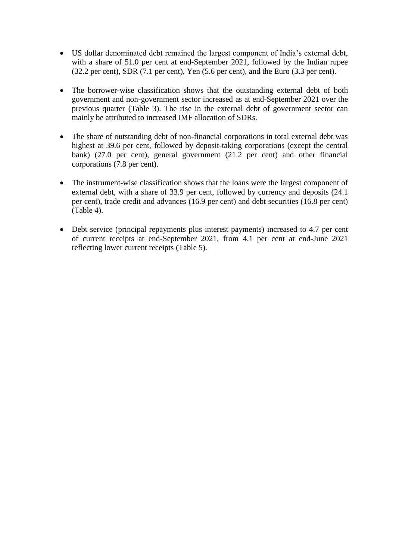- US dollar denominated debt remained the largest component of India's external debt, with a share of 51.0 per cent at end-September 2021, followed by the Indian rupee (32.2 per cent), SDR (7.1 per cent), Yen (5.6 per cent), and the Euro (3.3 per cent).
- The borrower-wise classification shows that the outstanding external debt of both government and non-government sector increased as at end-September 2021 over the previous quarter (Table 3). The rise in the external debt of government sector can mainly be attributed to increased IMF allocation of SDRs.
- The share of outstanding debt of non-financial corporations in total external debt was highest at 39.6 per cent, followed by deposit-taking corporations (except the central bank) (27.0 per cent), general government (21.2 per cent) and other financial corporations (7.8 per cent).
- The instrument-wise classification shows that the loans were the largest component of external debt, with a share of 33.9 per cent, followed by currency and deposits (24.1 per cent), trade credit and advances (16.9 per cent) and debt securities (16.8 per cent) (Table 4).
- Debt service (principal repayments plus interest payments) increased to 4.7 per cent of current receipts at end-September 2021, from 4.1 per cent at end-June 2021 reflecting lower current receipts (Table 5).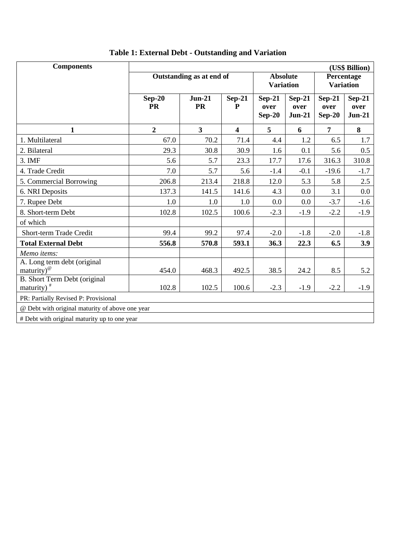| <b>Components</b>                                             | (US\$ Billion)           |                       |               |                                     |                              |                                |                              |
|---------------------------------------------------------------|--------------------------|-----------------------|---------------|-------------------------------------|------------------------------|--------------------------------|------------------------------|
|                                                               | Outstanding as at end of |                       |               | <b>Absolute</b><br><b>Variation</b> |                              | Percentage<br><b>Variation</b> |                              |
|                                                               | $Sep-20$<br><b>PR</b>    | $Jun-21$<br><b>PR</b> | $Sep-21$<br>P | $Sep-21$<br>over<br>$Sep-20$        | $Sep-21$<br>over<br>$Jun-21$ | $Sep-21$<br>over<br>$Sep-20$   | $Sep-21$<br>over<br>$Jun-21$ |
| $\mathbf{1}$                                                  | $\overline{2}$           | $\mathbf{3}$          | 4             | 5                                   | 6                            | $\overline{7}$                 | 8                            |
| 1. Multilateral                                               | 67.0                     | 70.2                  | 71.4          | 4.4                                 | 1.2                          | 6.5                            | 1.7                          |
| 2. Bilateral                                                  | 29.3                     | 30.8                  | 30.9          | 1.6                                 | 0.1                          | 5.6                            | 0.5                          |
| 3. IMF                                                        | 5.6                      | 5.7                   | 23.3          | 17.7                                | 17.6                         | 316.3                          | 310.8                        |
| 4. Trade Credit                                               | 7.0                      | 5.7                   | 5.6           | $-1.4$                              | $-0.1$                       | $-19.6$                        | $-1.7$                       |
| 5. Commercial Borrowing                                       | 206.8                    | 213.4                 | 218.8         | 12.0                                | 5.3                          | 5.8                            | 2.5                          |
| 6. NRI Deposits                                               | 137.3                    | 141.5                 | 141.6         | 4.3                                 | 0.0                          | 3.1                            | 0.0                          |
| 7. Rupee Debt                                                 | 1.0                      | 1.0                   | 1.0           | 0.0                                 | 0.0                          | $-3.7$                         | $-1.6$                       |
| 8. Short-term Debt                                            | 102.8                    | 102.5                 | 100.6         | $-2.3$                              | $-1.9$                       | $-2.2$                         | $-1.9$                       |
| of which                                                      |                          |                       |               |                                     |                              |                                |                              |
| Short-term Trade Credit                                       | 99.4                     | 99.2                  | 97.4          | $-2.0$                              | $-1.8$                       | $-2.0$                         | $-1.8$                       |
| <b>Total External Debt</b>                                    | 556.8                    | 570.8                 | 593.1         | 36.3                                | 22.3                         | 6.5                            | 3.9                          |
| Memo items:                                                   |                          |                       |               |                                     |                              |                                |                              |
| A. Long term debt (original<br>$\text{matrix}$ ) <sup>@</sup> | 454.0                    | 468.3                 | 492.5         | 38.5                                | 24.2                         | 8.5                            | 5.2                          |
| B. Short Term Debt (original<br>maturity) $*$                 | 102.8                    | 102.5                 | 100.6         | $-2.3$                              | $-1.9$                       | $-2.2$                         | $-1.9$                       |
| PR: Partially Revised P: Provisional                          |                          |                       |               |                                     |                              |                                |                              |
| @ Debt with original maturity of above one year               |                          |                       |               |                                     |                              |                                |                              |
| # Debt with original maturity up to one year                  |                          |                       |               |                                     |                              |                                |                              |

## **Table 1: External Debt - Outstanding and Variation**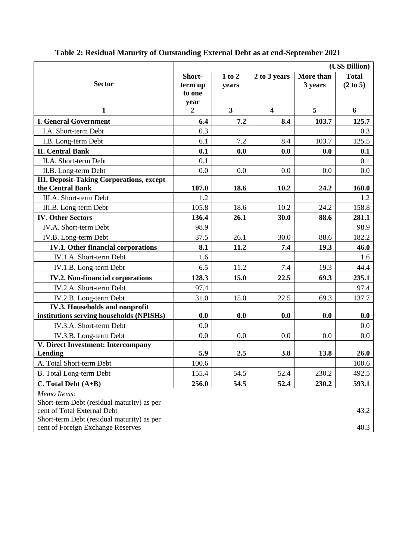|                                                                                                                                                                             | (US\$ Billion)                      |                         |                         |                      |                          |  |
|-----------------------------------------------------------------------------------------------------------------------------------------------------------------------------|-------------------------------------|-------------------------|-------------------------|----------------------|--------------------------|--|
| <b>Sector</b>                                                                                                                                                               | Short-<br>term up<br>to one<br>year | 1 to 2<br>years         | 2 to 3 years            | More than<br>3 years | <b>Total</b><br>(2 to 5) |  |
| 1                                                                                                                                                                           | $\overline{2}$                      | $\overline{\mathbf{3}}$ | $\overline{\mathbf{4}}$ | $\overline{5}$       | 6                        |  |
| <b>I. General Government</b>                                                                                                                                                | 6.4                                 | 7.2                     | 8.4                     | 103.7                | 125.7                    |  |
| I.A. Short-term Debt                                                                                                                                                        | 0.3                                 |                         |                         |                      | 0.3                      |  |
| I.B. Long-term Debt                                                                                                                                                         | 6.1                                 | 7.2                     | 8.4                     | 103.7                | 125.5                    |  |
| <b>II. Central Bank</b>                                                                                                                                                     | 0.1                                 | 0.0                     | 0.0                     | 0.0                  | 0.1                      |  |
| II.A. Short-term Debt                                                                                                                                                       | 0.1                                 |                         |                         |                      | 0.1                      |  |
| II.B. Long-term Debt                                                                                                                                                        | 0.0                                 | 0.0                     | 0.0                     | 0.0                  | 0.0                      |  |
| <b>III. Deposit-Taking Corporations, except</b><br>the Central Bank                                                                                                         | 107.0                               | 18.6                    | 10.2                    | 24.2                 | 160.0                    |  |
| III.A. Short-term Debt                                                                                                                                                      | 1.2                                 |                         |                         |                      | 1.2                      |  |
| III.B. Long-term Debt                                                                                                                                                       | 105.8                               | 18.6                    | 10.2                    | 24.2                 | 158.8                    |  |
| <b>IV. Other Sectors</b>                                                                                                                                                    | 136.4                               | 26.1                    | 30.0                    | 88.6                 | 281.1                    |  |
| IV.A. Short-term Debt                                                                                                                                                       | 98.9                                |                         |                         |                      | 98.9                     |  |
| IV.B. Long-term Debt                                                                                                                                                        | 37.5                                | 26.1                    | 30.0                    | 88.6                 | 182.2                    |  |
| <b>IV.1. Other financial corporations</b>                                                                                                                                   | 8.1                                 | 11.2                    | 7.4                     | 19.3                 | 46.0                     |  |
| IV.1.A. Short-term Debt                                                                                                                                                     | 1.6                                 |                         |                         |                      | 1.6                      |  |
| IV.1.B. Long-term Debt                                                                                                                                                      | 6.5                                 | 11.2                    | 7.4                     | 19.3                 | 44.4                     |  |
| <b>IV.2. Non-financial corporations</b>                                                                                                                                     | 128.3                               | 15.0                    | 22.5                    | 69.3                 | 235.1                    |  |
| IV.2.A. Short-term Debt                                                                                                                                                     | 97.4                                |                         |                         |                      | 97.4                     |  |
| IV.2.B. Long-term Debt                                                                                                                                                      | 31.0                                | 15.0                    | 22.5                    | 69.3                 | 137.7                    |  |
| IV.3. Households and nonprofit                                                                                                                                              |                                     |                         |                         |                      |                          |  |
| institutions serving households (NPISHs)                                                                                                                                    | 0.0                                 | 0.0                     | 0.0                     | 0.0                  | 0.0                      |  |
| IV.3.A. Short-term Debt                                                                                                                                                     | 0.0                                 |                         |                         |                      | $0.0\,$                  |  |
| IV.3.B. Long-term Debt                                                                                                                                                      | 0.0                                 | 0.0                     | 0.0                     | 0.0                  | 0.0                      |  |
| V. Direct Investment: Intercompany                                                                                                                                          |                                     |                         |                         |                      |                          |  |
| Lending                                                                                                                                                                     | 5.9                                 | 2.5                     | 3.8                     | 13.8                 | 26.0                     |  |
| A. Total Short-term Debt                                                                                                                                                    | 100.6                               |                         |                         |                      | 100.6                    |  |
| B. Total Long-term Debt                                                                                                                                                     | 155.4                               | 54.5                    | 52.4                    | 230.2                | 492.5                    |  |
| $C. Total Debt (A+B)$                                                                                                                                                       | 256.0                               | 54.5                    | 52.4                    | 230.2                | 593.1                    |  |
| Memo Items:<br>Short-term Debt (residual maturity) as per<br>cent of Total External Debt<br>Short-term Debt (residual maturity) as per<br>cent of Foreign Exchange Reserves |                                     |                         |                         |                      | 43.2<br>40.3             |  |

## **Table 2: Residual Maturity of Outstanding External Debt as at end-September 2021**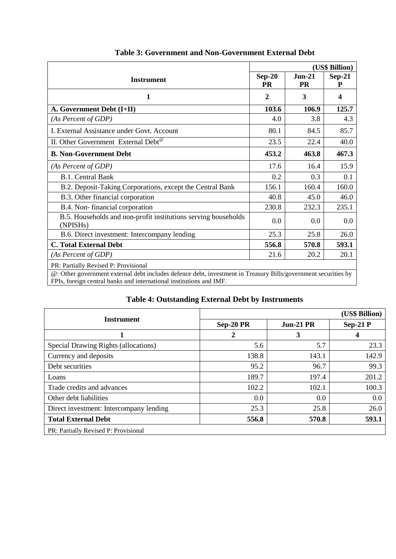|                                                                                                                                                                                       | (US\$ Billion)        |                       |                  |  |  |
|---------------------------------------------------------------------------------------------------------------------------------------------------------------------------------------|-----------------------|-----------------------|------------------|--|--|
| <b>Instrument</b>                                                                                                                                                                     | $Sep-20$<br><b>PR</b> | $Jun-21$<br><b>PR</b> | $Sep-21$<br>P    |  |  |
| 1                                                                                                                                                                                     | $\overline{2}$        | 3                     | $\boldsymbol{4}$ |  |  |
| A. Government Debt (I+II)                                                                                                                                                             | 103.6                 | 106.9                 | 125.7            |  |  |
| (As Percent of GDP)                                                                                                                                                                   | 4.0                   | 3.8                   | 4.3              |  |  |
| I. External Assistance under Govt. Account                                                                                                                                            | 80.1                  | 84.5                  | 85.7             |  |  |
| II. Other Government External Debt <sup>®</sup>                                                                                                                                       | 23.5                  | 22.4                  | 40.0             |  |  |
| <b>B. Non-Government Debt</b>                                                                                                                                                         | 453.2                 | 463.8                 | 467.3            |  |  |
| (As Percent of GDP)                                                                                                                                                                   | 17.6                  | 16.4                  | 15.9             |  |  |
| <b>B.1. Central Bank</b>                                                                                                                                                              | 0.2                   | 0.3                   | 0.1              |  |  |
| B.2. Deposit-Taking Corporations, except the Central Bank                                                                                                                             | 156.1                 | 160.4                 | 160.0            |  |  |
| B.3. Other financial corporation                                                                                                                                                      | 40.8                  | 45.0                  | 46.0             |  |  |
| B.4. Non-financial corporation                                                                                                                                                        | 230.8                 | 232.3                 | 235.1            |  |  |
| B.5. Households and non-profit institutions serving households<br>(NPISHs)                                                                                                            | 0.0                   | 0.0                   | 0.0              |  |  |
| B.6. Direct investment: Intercompany lending                                                                                                                                          | 25.3                  | 25.8                  | 26.0             |  |  |
| <b>C. Total External Debt</b>                                                                                                                                                         | 556.8                 | 570.8                 | 593.1            |  |  |
| (As Percent of GDP)                                                                                                                                                                   | 21.6                  | 20.2                  | 20.1             |  |  |
| PR: Partially Revised P: Provisional                                                                                                                                                  |                       |                       |                  |  |  |
| @: Other government external debt includes defence debt, investment in Treasury Bills/government securities by<br>FPIs, foreign central banks and international institutions and IMF. |                       |                       |                  |  |  |

#### **Table 3: Government and Non-Government External Debt**

### **Table 4: Outstanding External Debt by Instruments**

|                                         |           |             | (US\$ Billion) |  |  |
|-----------------------------------------|-----------|-------------|----------------|--|--|
| <b>Instrument</b>                       | Sep-20 PR | $Jun-21 PR$ | $Sep-21P$      |  |  |
|                                         | 2         | 3           | 4              |  |  |
| Special Drawing Rights (allocations)    | 5.6       | 5.7         | 23.3           |  |  |
| Currency and deposits                   | 138.8     | 143.1       | 142.9          |  |  |
| Debt securities                         | 95.2      | 96.7        | 99.3           |  |  |
| Loans                                   | 189.7     | 197.4       | 201.2          |  |  |
| Trade credits and advances              | 102.2     | 102.1       | 100.3          |  |  |
| Other debt liabilities                  | 0.0       | 0.0         | 0.0            |  |  |
| Direct investment: Intercompany lending | 25.3      | 25.8        | 26.0           |  |  |
| <b>Total External Debt</b>              | 556.8     | 570.8       | 593.1          |  |  |
| PR: Partially Revised P: Provisional    |           |             |                |  |  |